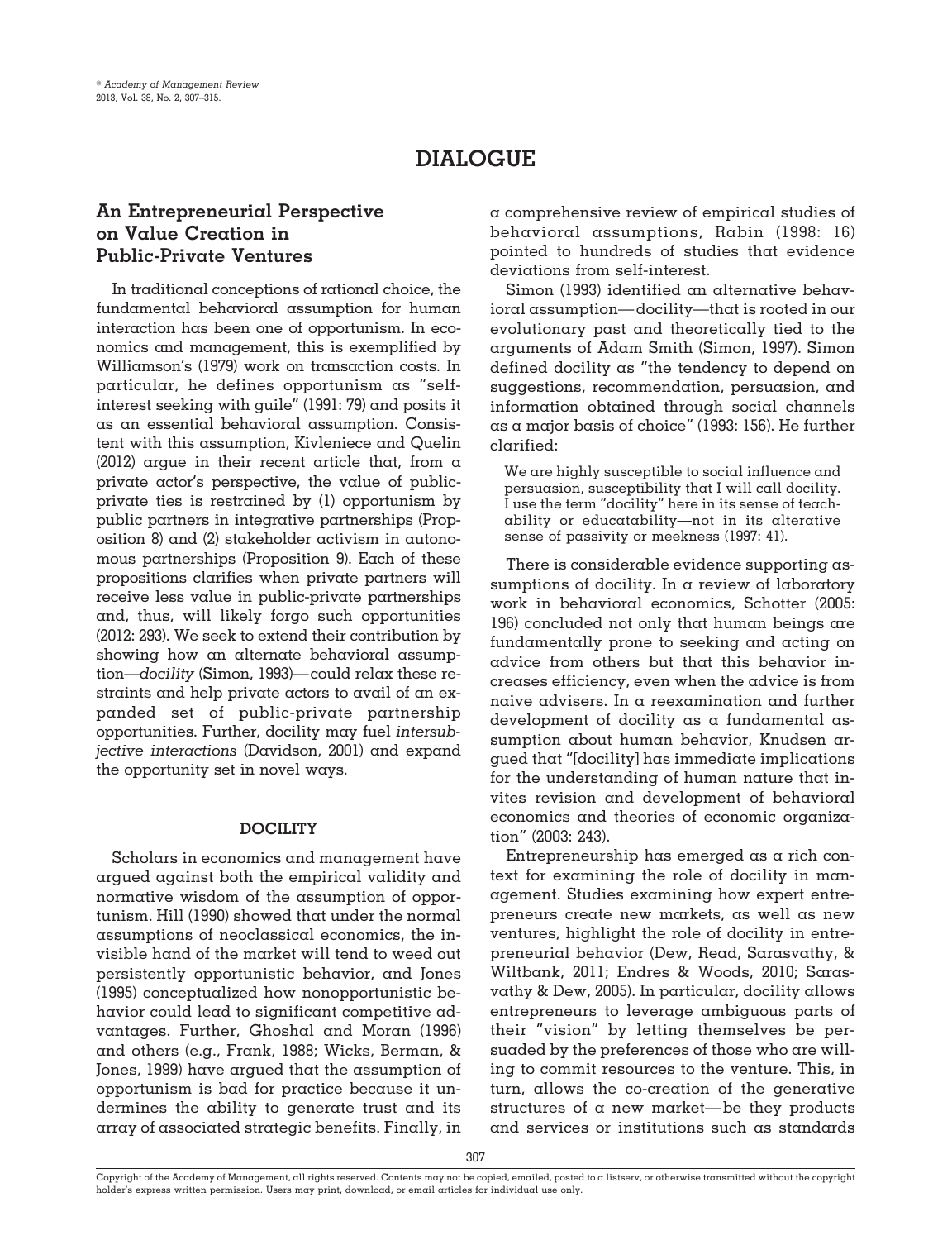# **DIALOGUE**

## **An Entrepreneurial Perspective on Value Creation in Public-Private Ventures**

In traditional conceptions of rational choice, the fundamental behavioral assumption for human interaction has been one of opportunism. In economics and management, this is exemplified by Williamson's (1979) work on transaction costs. In particular, he defines opportunism as "selfinterest seeking with guile" (1991: 79) and posits it as an essential behavioral assumption. Consistent with this assumption, Kivleniece and Quelin (2012) argue in their recent article that, from a private actor's perspective, the value of publicprivate ties is restrained by (1) opportunism by public partners in integrative partnerships (Proposition 8) and (2) stakeholder activism in autonomous partnerships (Proposition 9). Each of these propositions clarifies when private partners will receive less value in public-private partnerships and, thus, will likely forgo such opportunities (2012: 293). We seek to extend their contribution by showing how an alternate behavioral assumption—*docility* (Simon, 1993)— could relax these restraints and help private actors to avail of an expanded set of public-private partnership opportunities. Further, docility may fuel *intersubjective interactions* (Davidson, 2001) and expand the opportunity set in novel ways.

#### **DOCILITY**

Scholars in economics and management have argued against both the empirical validity and normative wisdom of the assumption of opportunism. Hill (1990) showed that under the normal assumptions of neoclassical economics, the invisible hand of the market will tend to weed out persistently opportunistic behavior, and Jones (1995) conceptualized how nonopportunistic behavior could lead to significant competitive advantages. Further, Ghoshal and Moran (1996) and others (e.g., Frank, 1988; Wicks, Berman, & Jones, 1999) have argued that the assumption of opportunism is bad for practice because it undermines the ability to generate trust and its array of associated strategic benefits. Finally, in

a comprehensive review of empirical studies of behavioral assumptions, Rabin (1998: 16) pointed to hundreds of studies that evidence deviations from self-interest.

Simon (1993) identified an alternative behavioral assumption—docility—that is rooted in our evolutionary past and theoretically tied to the arguments of Adam Smith (Simon, 1997). Simon defined docility as "the tendency to depend on suggestions, recommendation, persuasion, and information obtained through social channels as a major basis of choice" (1993: 156). He further clarified:

We are highly susceptible to social influence and persuasion, susceptibility that I will call docility. I use the term "docility" here in its sense of teachability or educatability—not in its alterative sense of passivity or meekness (1997: 41).

There is considerable evidence supporting assumptions of docility. In a review of laboratory work in behavioral economics, Schotter (2005: 196) concluded not only that human beings are fundamentally prone to seeking and acting on advice from others but that this behavior increases efficiency, even when the advice is from naive advisers. In a reexamination and further development of docility as a fundamental assumption about human behavior, Knudsen argued that "[docility] has immediate implications for the understanding of human nature that invites revision and development of behavioral economics and theories of economic organization" (2003: 243).

Entrepreneurship has emerged as a rich context for examining the role of docility in management. Studies examining how expert entrepreneurs create new markets, as well as new ventures, highlight the role of docility in entrepreneurial behavior (Dew, Read, Sarasvathy, & Wiltbank, 2011; Endres & Woods, 2010; Sarasvathy & Dew, 2005). In particular, docility allows entrepreneurs to leverage ambiguous parts of their "vision" by letting themselves be persuaded by the preferences of those who are willing to commit resources to the venture. This, in turn, allows the co-creation of the generative structures of a new market—be they products and services or institutions such as standards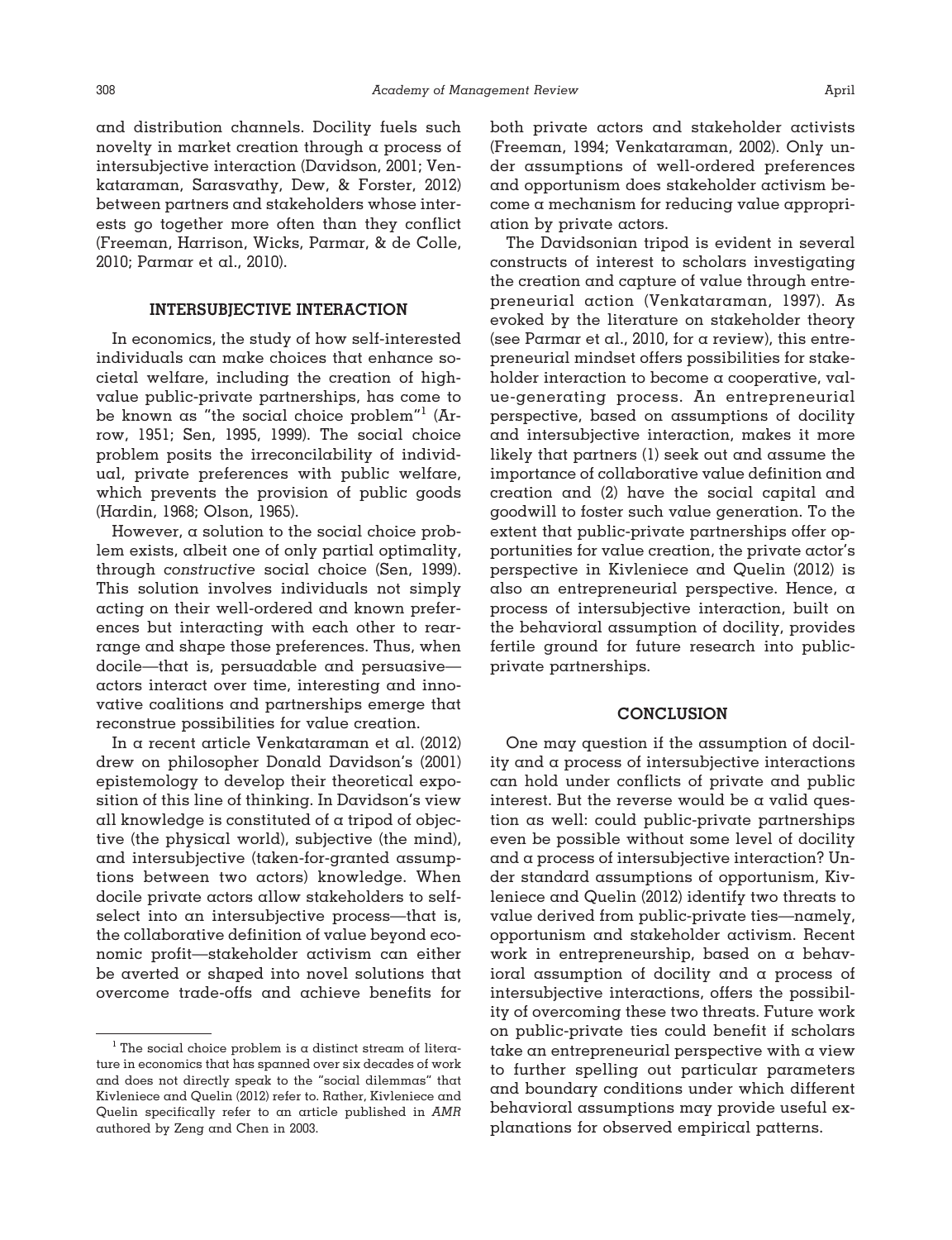and distribution channels. Docility fuels such novelty in market creation through a process of intersubjective interaction (Davidson, 2001; Venkataraman, Sarasvathy, Dew, & Forster, 2012) between partners and stakeholders whose interests go together more often than they conflict (Freeman, Harrison, Wicks, Parmar, & de Colle, 2010; Parmar et al., 2010).

### **INTERSUBJECTIVE INTERACTION**

In economics, the study of how self-interested individuals can make choices that enhance societal welfare, including the creation of highvalue public-private partnerships, has come to be known as "the social choice problem"1 (Arrow, 1951; Sen, 1995, 1999). The social choice problem posits the irreconcilability of individual, private preferences with public welfare, which prevents the provision of public goods (Hardin, 1968; Olson, 1965).

However, a solution to the social choice problem exists, albeit one of only partial optimality, through *constructive* social choice (Sen, 1999). This solution involves individuals not simply acting on their well-ordered and known preferences but interacting with each other to rearrange and shape those preferences. Thus, when docile—that is, persuadable and persuasive actors interact over time, interesting and innovative coalitions and partnerships emerge that reconstrue possibilities for value creation.

In a recent article Venkataraman et al. (2012) drew on philosopher Donald Davidson's (2001) epistemology to develop their theoretical exposition of this line of thinking. In Davidson's view all knowledge is constituted of a tripod of objective (the physical world), subjective (the mind), and intersubjective (taken-for-granted assumptions between two actors) knowledge. When docile private actors allow stakeholders to selfselect into an intersubjective process—that is, the collaborative definition of value beyond economic profit—stakeholder activism can either be averted or shaped into novel solutions that overcome trade-offs and achieve benefits for

both private actors and stakeholder activists (Freeman, 1994; Venkataraman, 2002). Only under assumptions of well-ordered preferences and opportunism does stakeholder activism become a mechanism for reducing value appropriation by private actors.

The Davidsonian tripod is evident in several constructs of interest to scholars investigating the creation and capture of value through entrepreneurial action (Venkataraman, 1997). As evoked by the literature on stakeholder theory (see Parmar et al., 2010, for a review), this entrepreneurial mindset offers possibilities for stakeholder interaction to become a cooperative, value-generating process. An entrepreneurial perspective, based on assumptions of docility and intersubjective interaction, makes it more likely that partners (1) seek out and assume the importance of collaborative value definition and creation and (2) have the social capital and goodwill to foster such value generation. To the extent that public-private partnerships offer opportunities for value creation, the private actor's perspective in Kivleniece and Quelin (2012) is also an entrepreneurial perspective. Hence, a process of intersubjective interaction, built on the behavioral assumption of docility, provides fertile ground for future research into publicprivate partnerships.

#### **CONCLUSION**

One may question if the assumption of docility and a process of intersubjective interactions can hold under conflicts of private and public interest. But the reverse would be  $\alpha$  valid question as well: could public-private partnerships even be possible without some level of docility and a process of intersubjective interaction? Under standard assumptions of opportunism, Kivleniece and Quelin (2012) identify two threats to value derived from public-private ties—namely, opportunism and stakeholder activism. Recent work in entrepreneurship, based on a behavioral assumption of docility and a process of intersubjective interactions, offers the possibility of overcoming these two threats. Future work on public-private ties could benefit if scholars take an entrepreneurial perspective with a view to further spelling out particular parameters and boundary conditions under which different behavioral assumptions may provide useful explanations for observed empirical patterns.

<sup>&</sup>lt;sup>1</sup> The social choice problem is a distinct stream of literature in economics that has spanned over six decades of work and does not directly speak to the "social dilemmas" that Kivleniece and Quelin (2012) refer to. Rather, Kivleniece and Quelin specifically refer to an article published in *AMR* authored by Zeng and Chen in 2003.